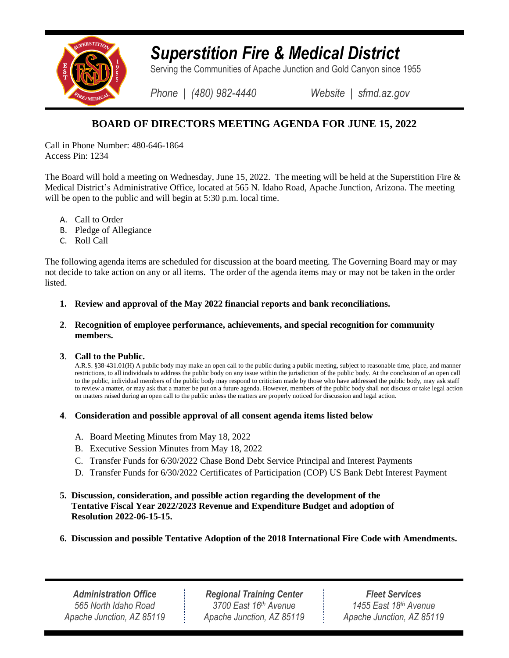

# *Superstition Fire & Medical District*

Serving the Communities of Apache Junction and Gold Canyon since 1955

*Phone | (480) 982-4440 Website | sfmd.az.gov*

# **BOARD OF DIRECTORS MEETING AGENDA FOR JUNE 15, 2022**

Call in Phone Number: 480-646-1864 Access Pin: 1234

The Board will hold a meeting on Wednesday, June 15, 2022. The meeting will be held at the Superstition Fire & Medical District's Administrative Office, located at 565 N. Idaho Road, Apache Junction, Arizona. The meeting will be open to the public and will begin at 5:30 p.m. local time.

- A. Call to Order
- B. Pledge of Allegiance
- C. Roll Call

The following agenda items are scheduled for discussion at the board meeting. The Governing Board may or may not decide to take action on any or all items. The order of the agenda items may or may not be taken in the order listed.

- **1. Review and approval of the May 2022 financial reports and bank reconciliations.**
- **2**. **Recognition of employee performance, achievements, and special recognition for community members.**

## **3**. **Call to the Public.**

A.R.S. §38-431.01(H) A public body may make an open call to the public during a public meeting, subject to reasonable time, place, and manner restrictions, to all individuals to address the public body on any issue within the jurisdiction of the public body. At the conclusion of an open call to the public, individual members of the public body may respond to criticism made by those who have addressed the public body, may ask staff to review a matter, or may ask that a matter be put on a future agenda. However, members of the public body shall not discuss or take legal action on matters raised during an open call to the public unless the matters are properly noticed for discussion and legal action.

# **4**. **Consideration and possible approval of all consent agenda items listed below**

- A. Board Meeting Minutes from May 18, 2022
- B. Executive Session Minutes from May 18, 2022
- C. Transfer Funds for 6/30/2022 Chase Bond Debt Service Principal and Interest Payments
- D. Transfer Funds for 6/30/2022 Certificates of Participation (COP) US Bank Debt Interest Payment

# **5. Discussion, consideration, and possible action regarding the development of the Tentative Fiscal Year 2022/2023 Revenue and Expenditure Budget and adoption of Resolution 2022-06-15-15.**

**6. Discussion and possible Tentative Adoption of the 2018 International Fire Code with Amendments.**

*Administration Office 565 North Idaho Road Apache Junction, AZ 85119*

*Regional Training Center 3700 East 16th Avenue Apache Junction, AZ 85119*

*Fleet Services 1455 East 18th Avenue Apache Junction, AZ 85119*